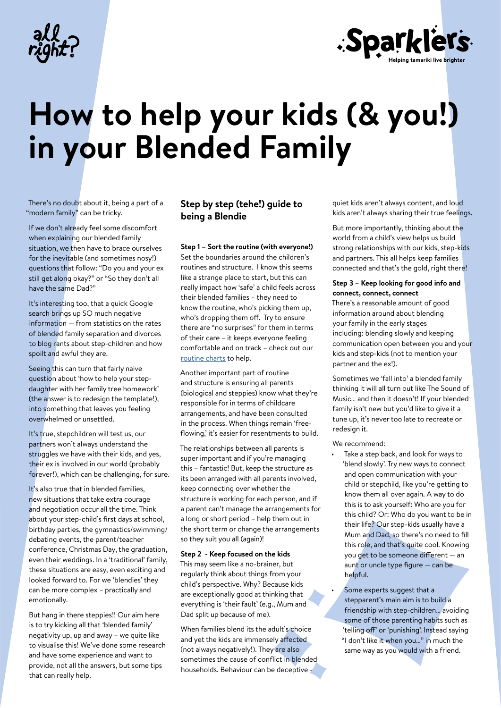



# **How to help your kids (& you!) in your Blended Family**

There's no doubt about it, being a part of a "modern family" can be tricky.

If we don't already feel some discomfort when explaining our blended family situation, we then have to brace ourselves for the inevitable (and sometimes nosy!) questions that follow: "Do you and your ex still get along okay?" or "So they don't all have the same Dad?"

It's interesting too, that a quick Google search brings up SO much negative information — from statistics on the rates of blended family separation and divorces to blog rants about step-children and how spoilt and awful they are.

Seeing this can turn that fairly naive question about 'how to help your stepdaughter with her family tree homework' (the answer is to redesign the template!), into something that leaves you feeling overwhelmed or unsettled.

It's true, stepchildren will test us, our partners won't always understand the struggles we have with their kids, and yes, their ex is involved in our world (probably forever!), which can be challenging, for sure.

It's also true that in blended families, new situations that take extra courage and negotiation occur all the time. Think about your step-child's first days at school, birthday parties, the gymnastics/swimming/ debating events, the parent/teacher conference, Christmas Day, the graduation, even their weddings. In a 'traditional' family, these situations are easy, even exciting and looked forward to. For we 'blendies' they can be more complex – practically and emotionally.

But hang in there steppies!! Our aim here is to try kicking all that 'blended family' negativity up, up and away – we quite like to visualise this! We've done some research and have some experience and want to provide, not all the answers, but some tips that can really help.

# **Step by step (tehe!) guide to being a Blendie**

### **Step 1 – Sort the routine (with everyone!)**

Set the boundaries around the children's routines and structure. I know this seems like a strange place to start, but this can really impact how 'safe' a child feels across their blended families – they need to know the routine, who's picking them up, who's dropping them off. Try to ensure there are "no surprises" for them in terms of their care – it keeps everyone feeling comfortable and on track – check out our [routine charts](https://allright.org.nz/articles/tricks-get-your-child-loving-daily-routines/) to help.

Another important part of routine and structure is ensuring all parents (biological and steppies) know what they're responsible for in terms of childcare arrangements, and have been consulted in the process. When things remain 'freeflowing,' it's easier for resentments to build.

The relationships between all parents is super important and if you're managing this – fantastic! But, keep the structure as its been arranged with all parents involved, keep connecting over whether the structure is working for each person, and if a parent can't manage the arrangements for a long or short period – help them out in the short term or change the arrangements so they suit you all (again)!

#### **Step 2 - Keep focused on the kids**

This may seem like a no-brainer, but regularly think about things from your child's perspective. Why? Because kids are exceptionally good at thinking that everything is 'their fault' (e.g., Mum and Dad split up because of me).

When families blend its the adult's choice and yet the kids are immensely affected (not always negatively!). They are also sometimes the cause of conflict in blended households. Behaviour can be deceptive -

quiet kids aren't always content, and loud kids aren't always sharing their true feelings.

But more importantly, thinking about the world from a child's view helps us build strong relationships with our kids, step-kids and partners. This all helps keep families connected and that's the gold, right there!

## **Step 3 – Keep looking for good info and connect, connect, connect**

There's a reasonable amount of good information around about blending your family in the early stages including: blending slowly and keeping communication open between you and your kids and step-kids (not to mention your partner and the ex!).

Sometimes we 'fall into' a blended family thinking it will all turn out like The Sound of Music… and then it doesn't! If your blended family isn't new but you'd like to give it a tune up, it's never too late to recreate or redesign it.

- We recommend:
	- Take a step back, and look for ways to 'blend slowly'. Try new ways to connect and open communication with your child or stepchild, like you're getting to know them all over again. A way to do this is to ask yourself: Who are you for this child? Or: Who do you want to be in their life? Our step-kids usually have a Mum and Dad, so there's no need to fill this role, and that's quite cool. Knowing you get to be someone different — an aunt or uncle type figure — can be helpful.

Some experts suggest that a stepparent's main aim is to build a friendship with step-children… avoiding some of those parenting habits such as 'telling off' or 'punishing'. Instead saying "I don't like it when you…" in much the same way as you would with a friend.